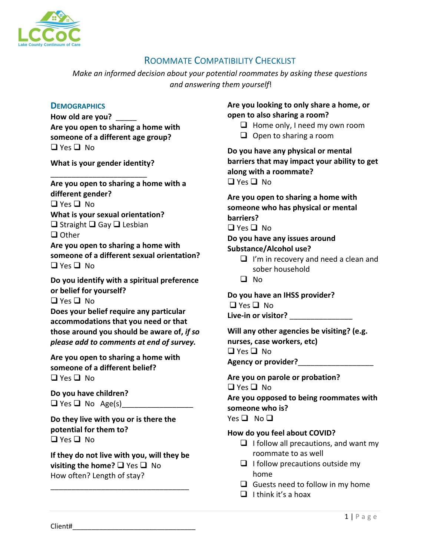

# ROOMMATE COMPATIBILITY CHECKLIST

*Make an informed decision about your potential roommates by asking these questions and answering them yourself*!

#### **DEMOGRAPHICS**

**How old are you?** \_\_\_\_\_ **Are you open to sharing a home with someone of a different age group?**  $\Box$  Yes  $\Box$  No

**What is your gender identity?**

\_\_\_\_\_\_\_\_\_\_\_\_\_\_\_\_\_\_\_\_\_\_\_

**Are you open to sharing a home with a different gender?**   $\Box$  Yes  $\Box$  No **What is your sexual orientation?**  $\Box$  Straight  $\Box$  Gay  $\Box$  Lesbian □ Other **Are you open to sharing a home with someone of a different sexual orientation?**   $\Box$  Yes  $\Box$  No

**Do you identify with a spiritual preference or belief for yourself?**

 $\Box$  Yes  $\Box$  No

**Does your belief require any particular accommodations that you need or that those around you should be aware of,** *if so please add to comments at end of survey.*

**Are you open to sharing a home with someone of a different belief?**  $\Box$  Yes  $\Box$  No

**Do you have children?**  $\Box$  Yes  $\Box$  No Age(s)

**Do they live with you or is there the potential for them to?**  $\Box$  Yes  $\Box$  No.

**If they do not live with you, will they be visiting the home?**  $\Box$  Yes  $\Box$  No How often? Length of stay?

\_\_\_\_\_\_\_\_\_\_\_\_\_\_\_\_\_\_\_\_\_\_\_\_\_\_\_\_\_\_\_\_\_

# **Are you looking to only share a home, or open to also sharing a room?**

- $\Box$  Home only, I need my own room
- $\Box$  Open to sharing a room

**Do you have any physical or mental barriers that may impact your ability to get along with a roommate?**  $\Box$  Yes  $\Box$  No

**Are you open to sharing a home with someone who has physical or mental barriers?**

 $\Box$  Yes  $\Box$  No

**Do you have any issues around** 

**Substance/Alcohol use?**

- $\Box$  I'm in recovery and need a clean and sober household
- $\Box$  No

**Do you have an IHSS provider?**  $\Box$  Yes  $\Box$  No

**Live-in or visitor?** \_\_\_\_\_\_\_\_\_\_\_\_\_\_\_

**Will any other agencies be visiting? (e.g. nurses, case workers, etc)**  $\Box$  Yes  $\Box$  No **Agency or provider?**\_\_\_\_\_\_\_\_\_\_\_\_\_\_\_\_\_\_

**Are you on parole or probation?**  $\Box$  Yes  $\Box$  No.

**Are you opposed to being roommates with someone who is?**

 $Yes \Box No \Box$ 

# **How do you feel about COVID?**

- $\Box$  I follow all precautions, and want my roommate to as well
- $\Box$  I follow precautions outside my home
- $\Box$  Guests need to follow in my home
- $\Box$  I think it's a hoax

Client#\_\_\_\_\_\_\_\_\_\_\_\_\_\_\_\_\_\_\_\_\_\_\_\_\_\_\_\_\_\_\_\_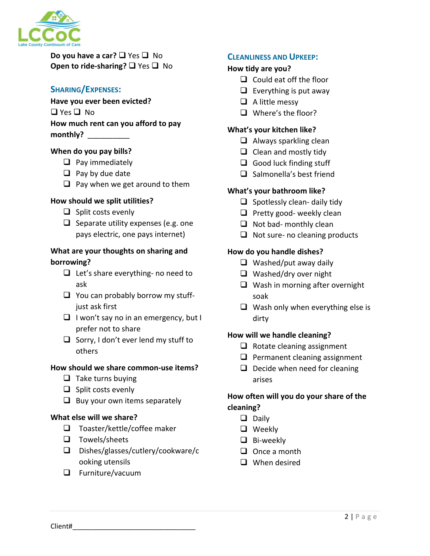

**Do you have a car?**  $\Box$  Yes  $\Box$  No **Open to ride-sharing?** □ Yes □ No

# **SHARING/EXPENSES:**

**Have you ever been evicted?**

 $\Box$  Yes  $\Box$  No

**How much rent can you afford to pay monthly?** \_\_\_\_\_\_\_\_\_\_

# **When do you pay bills?**

- $\Box$  Pay immediately
- $\Box$  Pay by due date
- $\Box$  Pay when we get around to them

# **How should we split utilities?**

- $\Box$  Split costs evenly
- $\Box$  Separate utility expenses (e.g. one pays electric, one pays internet)

# **What are your thoughts on sharing and borrowing?**

- $\Box$  Let's share everything- no need to ask
- $\Box$  You can probably borrow my stuffjust ask first
- $\Box$  I won't say no in an emergency, but I prefer not to share
- $\Box$  Sorry, I don't ever lend my stuff to others

# **How should we share common-use items?**

- $\Box$  Take turns buying
- $\Box$  Split costs evenly
- $\Box$  Buy your own items separately

# **What else will we share?**

- □ Toaster/kettle/coffee maker
- $\Box$  Towels/sheets
- Dishes/glasses/cutlery/cookware/c ooking utensils
- $\Box$  Furniture/vacuum

#### **CLEANLINESS AND UPKEEP:**

# **How tidy are you?**

- $\Box$  Could eat off the floor
- $\Box$  Everything is put away
- $\Box$  A little messy
- □ Where's the floor?

# **What's your kitchen like?**

- $\Box$  Always sparkling clean
- $\Box$  Clean and mostly tidy
- $\Box$  Good luck finding stuff
- $\Box$  Salmonella's best friend

# **What's your bathroom like?**

- $\Box$  Spotlessly clean- daily tidy
- $\Box$  Pretty good- weekly clean
- $\Box$  Not bad- monthly clean
- $\Box$  Not sure- no cleaning products

#### **How do you handle dishes?**

- $\Box$  Washed/put away daily
- $\Box$  Washed/dry over night
- $\Box$  Wash in morning after overnight soak
- $\Box$  Wash only when everything else is dirty

# **How will we handle cleaning?**

- $\Box$  Rotate cleaning assignment
- $\Box$  Permanent cleaning assignment
- $\Box$  Decide when need for cleaning arises

# **How often will you do your share of the cleaning?**

- $\Box$  Daily
- **Q** Weekly
- $\Box$  Bi-weekly
- $\Box$  Once a month
- **Q** When desired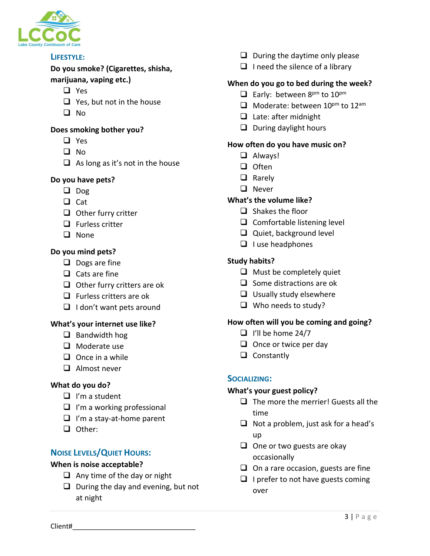

#### **LIFESTYLE:**

# **Do you smoke? (Cigarettes, shisha,**

# **marijuana, vaping etc.)**

- **Q** Yes
- $\Box$  Yes, but not in the house
- $\Box$  No

#### **Does smoking bother you?**

- □ Yes
- $\Box$  No
- $\Box$  As long as it's not in the house

#### **Do you have pets?**

- Dog
- $\Box$  Cat
- $\Box$  Other furry critter
- $\Box$  Furless critter
- □ None

#### **Do you mind pets?**

- $\Box$  Dogs are fine
- $\Box$  Cats are fine
- $\Box$  Other furry critters are ok
- $\Box$  Furless critters are ok
- $\Box$  I don't want pets around

# **What's your internet use like?**

- $\Box$  Bandwidth hog
- $\Box$  Moderate use
- $\Box$  Once in a while
- $\Box$  Almost never

#### **What do you do?**

- $\Box$  I'm a student
- $\Box$  I'm a working professional
- $\Box$  I'm a stay-at-home parent
- Other:

# **NOISE LEVELS/QUIET HOURS:**

#### **When is noise acceptable?**

- $\Box$  Any time of the day or night
- $\Box$  During the day and evening, but not at night
- $\Box$  During the daytime only please
- $\Box$  I need the silence of a library

# **When do you go to bed during the week?**

- $\Box$  Early: between  $8^{pm}$  to  $10^{pm}$
- $\Box$  Moderate: between 10<sup>pm</sup> to 12<sup>am</sup>
- $\Box$  Late: after midnight
- $\Box$  During daylight hours

#### **How often do you have music on?**

- **Q** Always!
- $\Box$  Often
- $\Box$  Rarely
- □ Never

# **What's the volume like?**

- $\Box$  Shakes the floor
- $\Box$  Comfortable listening level
- $\Box$  Quiet, background level
- $\Box$  I use headphones

#### **Study habits?**

- $\Box$  Must be completely quiet
- $\Box$  Some distractions are ok
- $\Box$  Usually study elsewhere
- $\Box$  Who needs to study?

#### **How often will you be coming and going?**

- $\Box$  I'll be home 24/7
- $\Box$  Once or twice per day
- $\Box$  Constantly

#### **SOCIALIZING:**

#### **What's your guest policy?**

- $\Box$  The more the merrier! Guests all the time
- $\Box$  Not a problem, just ask for a head's up
- $\Box$  One or two guests are okay occasionally
- $\Box$  On a rare occasion, guests are fine
- $\Box$  I prefer to not have guests coming over